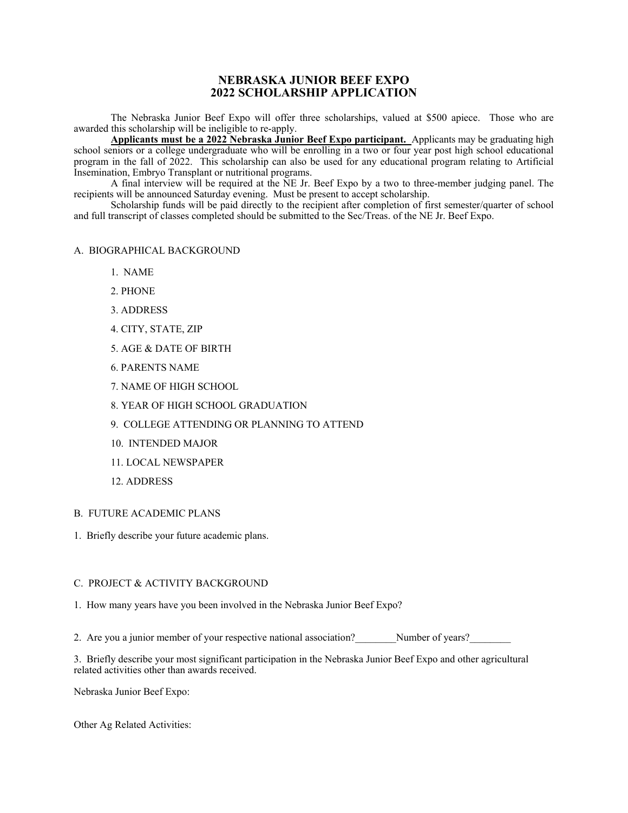# **NEBRASKA JUNIOR BEEF EXPO 2022 SCHOLARSHIP APPLICATION**

 The Nebraska Junior Beef Expo will offer three scholarships, valued at \$500 apiece. Those who are awarded this scholarship will be ineligible to re-apply.

**Applicants must be a 2022 Nebraska Junior Beef Expo participant.** Applicants may be graduating high school seniors or a college undergraduate who will be enrolling in a two or four year post high school educational program in the fall of 2022. This scholarship can also be used for any educational program relating to Artificial Insemination, Embryo Transplant or nutritional programs.

 A final interview will be required at the NE Jr. Beef Expo by a two to three-member judging panel. The recipients will be announced Saturday evening. Must be present to accept scholarship.

 Scholarship funds will be paid directly to the recipient after completion of first semester/quarter of school and full transcript of classes completed should be submitted to the Sec/Treas. of the NE Jr. Beef Expo.

#### A. BIOGRAPHICAL BACKGROUND

- 1. NAME
- 2. PHONE
- 3. ADDRESS
- 4. CITY, STATE, ZIP
- 5. AGE & DATE OF BIRTH
- 6. PARENTS NAME
- 7. NAME OF HIGH SCHOOL
- 8. YEAR OF HIGH SCHOOL GRADUATION
- 9. COLLEGE ATTENDING OR PLANNING TO ATTEND
- 10. INTENDED MAJOR
- 11. LOCAL NEWSPAPER
- 12. ADDRESS

## B. FUTURE ACADEMIC PLANS

1. Briefly describe your future academic plans.

#### C. PROJECT & ACTIVITY BACKGROUND

- 1. How many years have you been involved in the Nebraska Junior Beef Expo?
- 2. Are you a junior member of your respective national association? Number of years?

3. Briefly describe your most significant participation in the Nebraska Junior Beef Expo and other agricultural related activities other than awards received.

Nebraska Junior Beef Expo:

Other Ag Related Activities: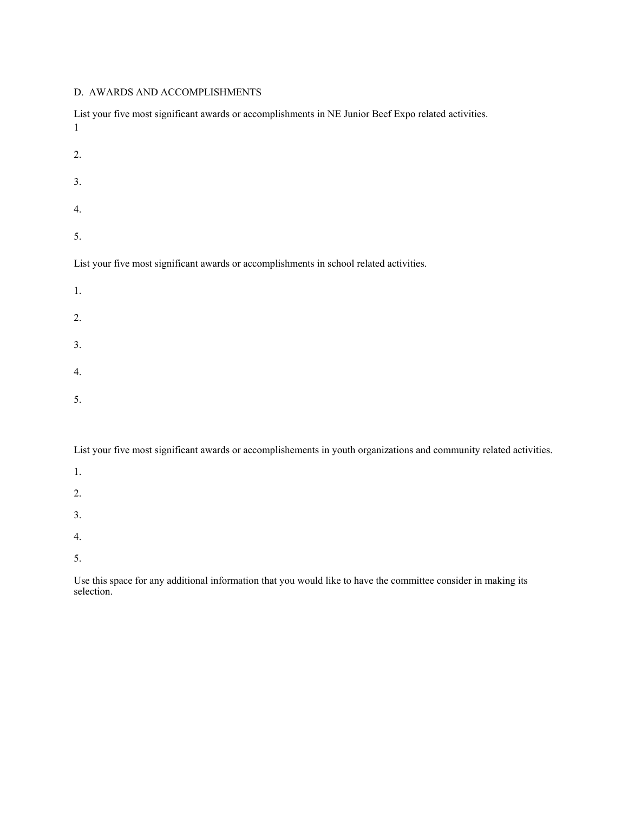## D. AWARDS AND ACCOMPLISHMENTS

| List your five most significant awards or accomplishments in NE Junior Beef Expo related activities.<br>$\mathbf{1}$ |
|----------------------------------------------------------------------------------------------------------------------|
| 2.                                                                                                                   |
| 3.                                                                                                                   |
| 4.                                                                                                                   |
| 5.                                                                                                                   |
| List your five most significant awards or accomplishments in school related activities.                              |
| 1.                                                                                                                   |
| 2.                                                                                                                   |
| 3.                                                                                                                   |
| 4.                                                                                                                   |
| 5.                                                                                                                   |
|                                                                                                                      |

List your five most significant awards or accomplishements in youth organizations and community related activities.

- 1. 2.
- 3.
- 4.
- 5.

Use this space for any additional information that you would like to have the committee consider in making its selection.